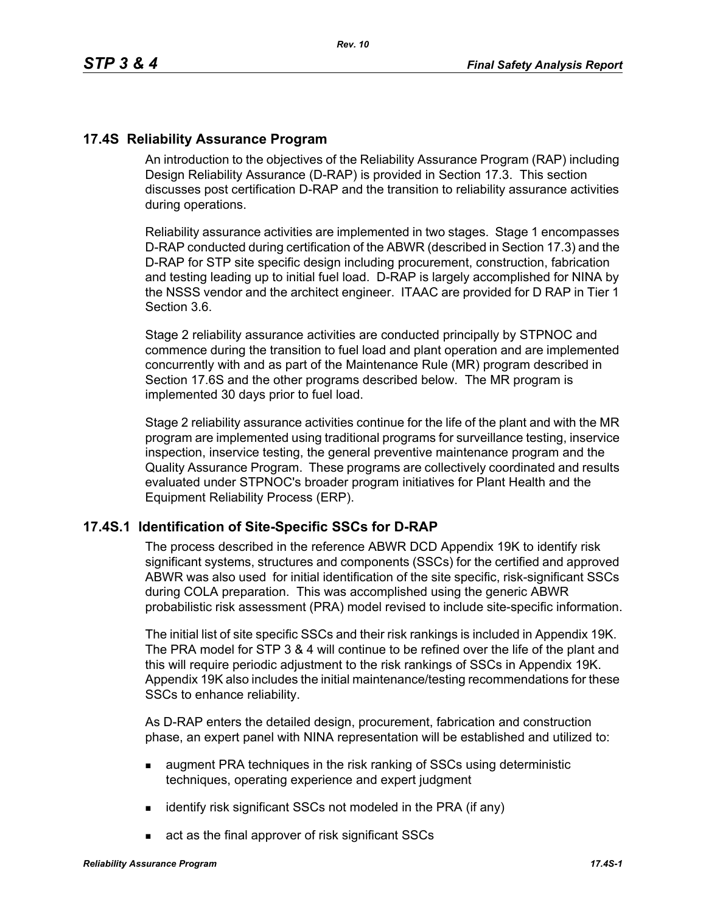## **17.4S Reliability Assurance Program**

An introduction to the objectives of the Reliability Assurance Program (RAP) including Design Reliability Assurance (D-RAP) is provided in Section 17.3. This section discusses post certification D-RAP and the transition to reliability assurance activities during operations.

Reliability assurance activities are implemented in two stages. Stage 1 encompasses D-RAP conducted during certification of the ABWR (described in Section 17.3) and the D-RAP for STP site specific design including procurement, construction, fabrication and testing leading up to initial fuel load. D-RAP is largely accomplished for NINA by the NSSS vendor and the architect engineer. ITAAC are provided for D RAP in Tier 1 Section 3.6.

Stage 2 reliability assurance activities are conducted principally by STPNOC and commence during the transition to fuel load and plant operation and are implemented concurrently with and as part of the Maintenance Rule (MR) program described in Section 17.6S and the other programs described below. The MR program is implemented 30 days prior to fuel load.

Stage 2 reliability assurance activities continue for the life of the plant and with the MR program are implemented using traditional programs for surveillance testing, inservice inspection, inservice testing, the general preventive maintenance program and the Quality Assurance Program. These programs are collectively coordinated and results evaluated under STPNOC's broader program initiatives for Plant Health and the Equipment Reliability Process (ERP).

### **17.4S.1 Identification of Site-Specific SSCs for D-RAP**

The process described in the reference ABWR DCD Appendix 19K to identify risk significant systems, structures and components (SSCs) for the certified and approved ABWR was also used for initial identification of the site specific, risk-significant SSCs during COLA preparation. This was accomplished using the generic ABWR probabilistic risk assessment (PRA) model revised to include site-specific information.

The initial list of site specific SSCs and their risk rankings is included in Appendix 19K. The PRA model for STP 3 & 4 will continue to be refined over the life of the plant and this will require periodic adjustment to the risk rankings of SSCs in Appendix 19K. Appendix 19K also includes the initial maintenance/testing recommendations for these SSCs to enhance reliability.

As D-RAP enters the detailed design, procurement, fabrication and construction phase, an expert panel with NINA representation will be established and utilized to:

- **a** augment PRA techniques in the risk ranking of SSCs using deterministic techniques, operating experience and expert judgment
- $\blacksquare$  identify risk significant SSCs not modeled in the PRA (if any)
- act as the final approver of risk significant SSCs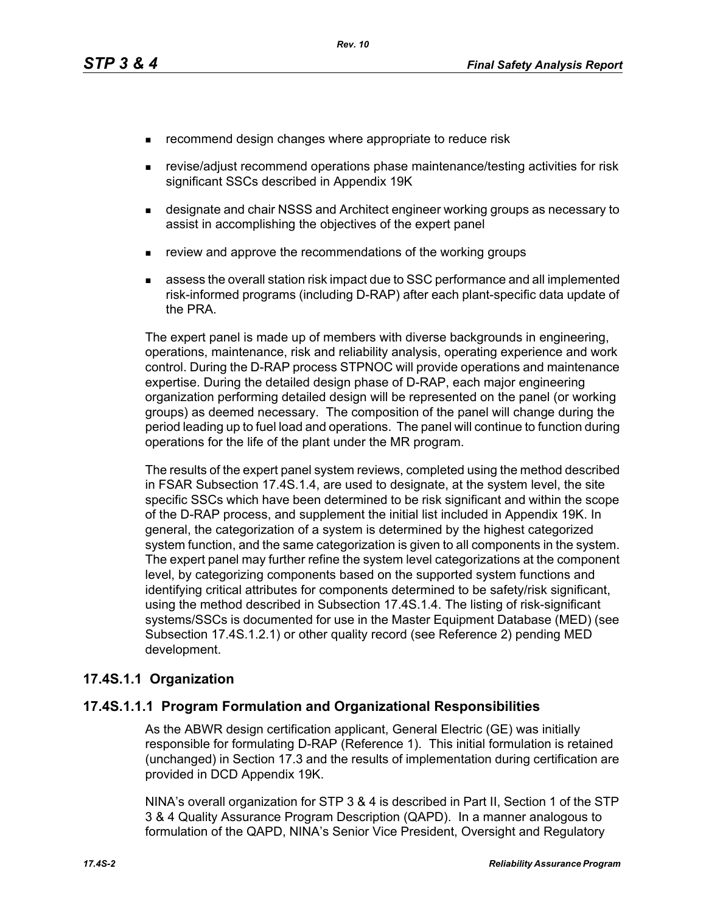- **EXECOMMENDERIGHT CHANGES** where appropriate to reduce risk
- revise/adjust recommend operations phase maintenance/testing activities for risk significant SSCs described in Appendix 19K
- **EXEDERITH** designate and chair NSSS and Architect engineer working groups as necessary to assist in accomplishing the objectives of the expert panel
- review and approve the recommendations of the working groups
- assess the overall station risk impact due to SSC performance and all implemented risk-informed programs (including D-RAP) after each plant-specific data update of the PRA.

The expert panel is made up of members with diverse backgrounds in engineering, operations, maintenance, risk and reliability analysis, operating experience and work control. During the D-RAP process STPNOC will provide operations and maintenance expertise. During the detailed design phase of D-RAP, each major engineering organization performing detailed design will be represented on the panel (or working groups) as deemed necessary. The composition of the panel will change during the period leading up to fuel load and operations. The panel will continue to function during operations for the life of the plant under the MR program.

The results of the expert panel system reviews, completed using the method described in FSAR Subsection 17.4S.1.4, are used to designate, at the system level, the site specific SSCs which have been determined to be risk significant and within the scope of the D-RAP process, and supplement the initial list included in Appendix 19K. In general, the categorization of a system is determined by the highest categorized system function, and the same categorization is given to all components in the system. The expert panel may further refine the system level categorizations at the component level, by categorizing components based on the supported system functions and identifying critical attributes for components determined to be safety/risk significant, using the method described in Subsection 17.4S.1.4. The listing of risk-significant systems/SSCs is documented for use in the Master Equipment Database (MED) (see Subsection 17.4S.1.2.1) or other quality record (see Reference 2) pending MED development.

## **17.4S.1.1 Organization**

### **17.4S.1.1.1 Program Formulation and Organizational Responsibilities**

As the ABWR design certification applicant, General Electric (GE) was initially responsible for formulating D-RAP (Reference 1). This initial formulation is retained (unchanged) in Section 17.3 and the results of implementation during certification are provided in DCD Appendix 19K.

NINA's overall organization for STP 3 & 4 is described in Part II, Section 1 of the STP 3 & 4 Quality Assurance Program Description (QAPD). In a manner analogous to formulation of the QAPD, NINA's Senior Vice President, Oversight and Regulatory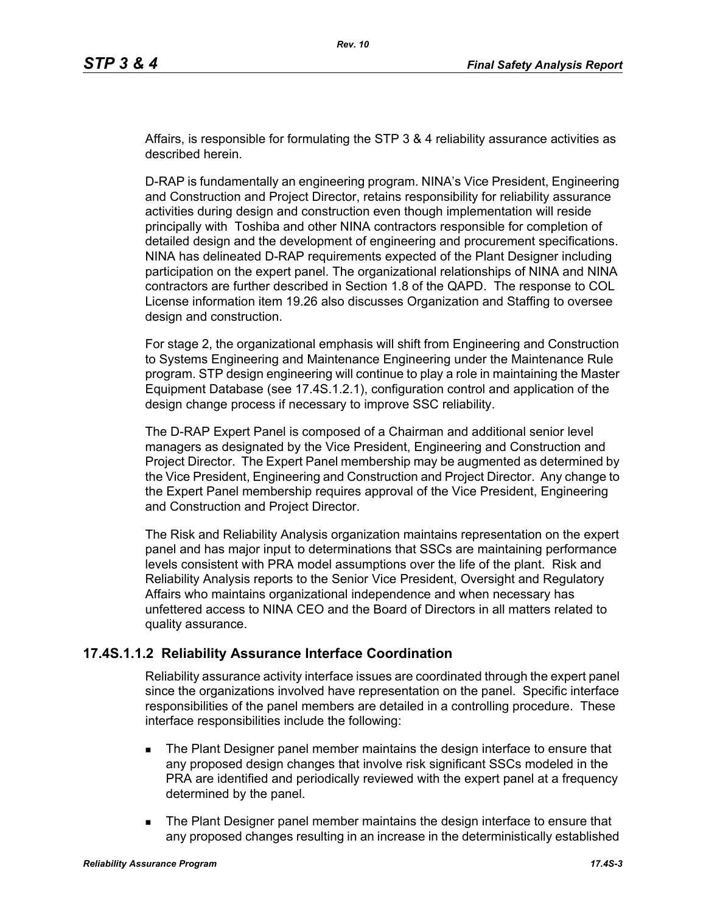Affairs, is responsible for formulating the STP 3 & 4 reliability assurance activities as described herein.

D-RAP is fundamentally an engineering program. NINA's Vice President, Engineering and Construction and Project Director, retains responsibility for reliability assurance activities during design and construction even though implementation will reside principally with Toshiba and other NINA contractors responsible for completion of detailed design and the development of engineering and procurement specifications. NINA has delineated D-RAP requirements expected of the Plant Designer including participation on the expert panel. The organizational relationships of NINA and NINA contractors are further described in Section 1.8 of the QAPD. The response to COL License information item 19.26 also discusses Organization and Staffing to oversee design and construction.

For stage 2, the organizational emphasis will shift from Engineering and Construction to Systems Engineering and Maintenance Engineering under the Maintenance Rule program. STP design engineering will continue to play a role in maintaining the Master Equipment Database (see 17.4S.1.2.1), configuration control and application of the design change process if necessary to improve SSC reliability.

The D-RAP Expert Panel is composed of a Chairman and additional senior level managers as designated by the Vice President, Engineering and Construction and Project Director. The Expert Panel membership may be augmented as determined by the Vice President, Engineering and Construction and Project Director. Any change to the Expert Panel membership requires approval of the Vice President, Engineering and Construction and Project Director.

The Risk and Reliability Analysis organization maintains representation on the expert panel and has major input to determinations that SSCs are maintaining performance levels consistent with PRA model assumptions over the life of the plant. Risk and Reliability Analysis reports to the Senior Vice President, Oversight and Regulatory Affairs who maintains organizational independence and when necessary has unfettered access to NINA CEO and the Board of Directors in all matters related to quality assurance.

## **17.4S.1.1.2 Reliability Assurance Interface Coordination**

Reliability assurance activity interface issues are coordinated through the expert panel since the organizations involved have representation on the panel. Specific interface responsibilities of the panel members are detailed in a controlling procedure. These interface responsibilities include the following:

- **The Plant Designer panel member maintains the design interface to ensure that** any proposed design changes that involve risk significant SSCs modeled in the PRA are identified and periodically reviewed with the expert panel at a frequency determined by the panel.
- **The Plant Designer panel member maintains the design interface to ensure that** any proposed changes resulting in an increase in the deterministically established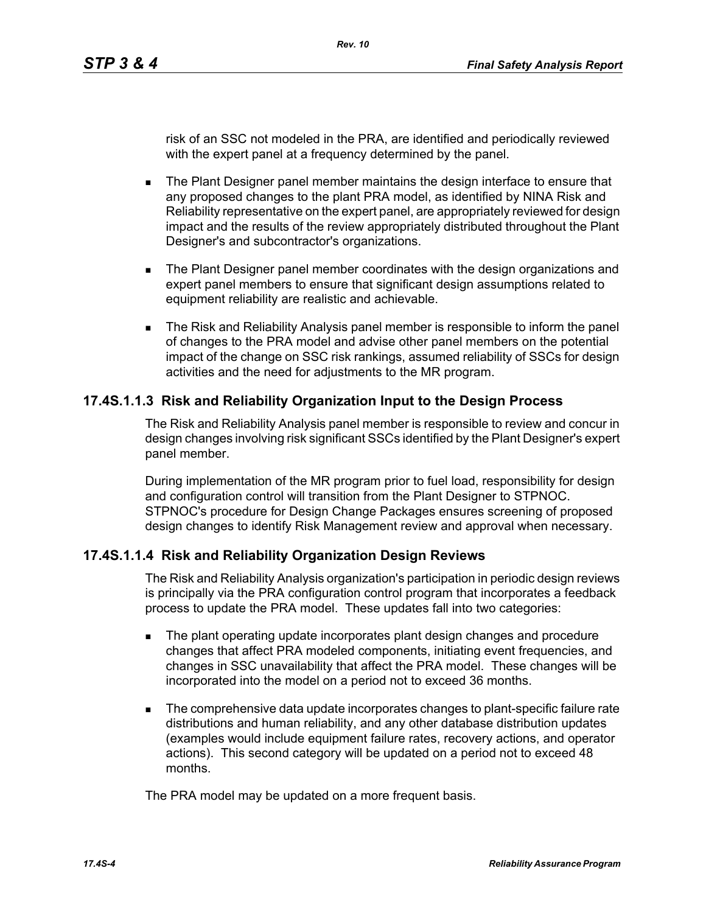risk of an SSC not modeled in the PRA, are identified and periodically reviewed with the expert panel at a frequency determined by the panel.

- **The Plant Designer panel member maintains the design interface to ensure that** any proposed changes to the plant PRA model, as identified by NINA Risk and Reliability representative on the expert panel, are appropriately reviewed for design impact and the results of the review appropriately distributed throughout the Plant Designer's and subcontractor's organizations.
- **The Plant Designer panel member coordinates with the design organizations and** expert panel members to ensure that significant design assumptions related to equipment reliability are realistic and achievable.
- The Risk and Reliability Analysis panel member is responsible to inform the panel of changes to the PRA model and advise other panel members on the potential impact of the change on SSC risk rankings, assumed reliability of SSCs for design activities and the need for adjustments to the MR program.

## **17.4S.1.1.3 Risk and Reliability Organization Input to the Design Process**

The Risk and Reliability Analysis panel member is responsible to review and concur in design changes involving risk significant SSCs identified by the Plant Designer's expert panel member.

During implementation of the MR program prior to fuel load, responsibility for design and configuration control will transition from the Plant Designer to STPNOC. STPNOC's procedure for Design Change Packages ensures screening of proposed design changes to identify Risk Management review and approval when necessary.

### **17.4S.1.1.4 Risk and Reliability Organization Design Reviews**

The Risk and Reliability Analysis organization's participation in periodic design reviews is principally via the PRA configuration control program that incorporates a feedback process to update the PRA model. These updates fall into two categories:

- **The plant operating update incorporates plant design changes and procedure** changes that affect PRA modeled components, initiating event frequencies, and changes in SSC unavailability that affect the PRA model. These changes will be incorporated into the model on a period not to exceed 36 months.
- The comprehensive data update incorporates changes to plant-specific failure rate distributions and human reliability, and any other database distribution updates (examples would include equipment failure rates, recovery actions, and operator actions). This second category will be updated on a period not to exceed 48 months.

The PRA model may be updated on a more frequent basis.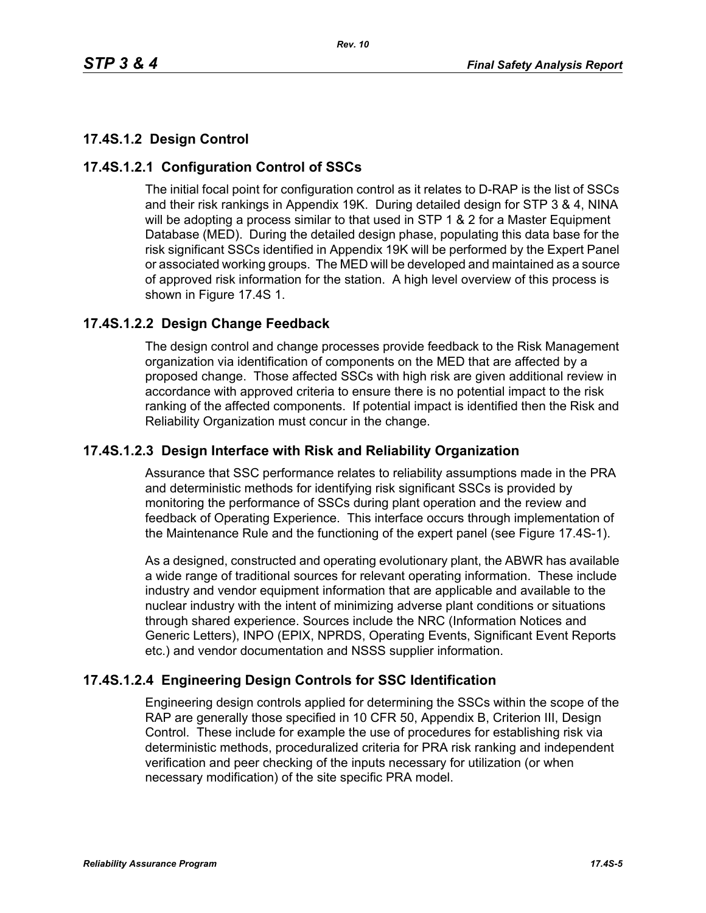## **17.4S.1.2 Design Control**

## **17.4S.1.2.1 Configuration Control of SSCs**

The initial focal point for configuration control as it relates to D-RAP is the list of SSCs and their risk rankings in Appendix 19K. During detailed design for STP 3 & 4, NINA will be adopting a process similar to that used in STP 1 & 2 for a Master Equipment Database (MED). During the detailed design phase, populating this data base for the risk significant SSCs identified in Appendix 19K will be performed by the Expert Panel or associated working groups. The MED will be developed and maintained as a source of approved risk information for the station. A high level overview of this process is shown in Figure 17.4S 1.

## **17.4S.1.2.2 Design Change Feedback**

The design control and change processes provide feedback to the Risk Management organization via identification of components on the MED that are affected by a proposed change. Those affected SSCs with high risk are given additional review in accordance with approved criteria to ensure there is no potential impact to the risk ranking of the affected components. If potential impact is identified then the Risk and Reliability Organization must concur in the change.

## **17.4S.1.2.3 Design Interface with Risk and Reliability Organization**

Assurance that SSC performance relates to reliability assumptions made in the PRA and deterministic methods for identifying risk significant SSCs is provided by monitoring the performance of SSCs during plant operation and the review and feedback of Operating Experience. This interface occurs through implementation of the Maintenance Rule and the functioning of the expert panel (see Figure 17.4S-1).

As a designed, constructed and operating evolutionary plant, the ABWR has available a wide range of traditional sources for relevant operating information. These include industry and vendor equipment information that are applicable and available to the nuclear industry with the intent of minimizing adverse plant conditions or situations through shared experience. Sources include the NRC (Information Notices and Generic Letters), INPO (EPIX, NPRDS, Operating Events, Significant Event Reports etc.) and vendor documentation and NSSS supplier information.

# **17.4S.1.2.4 Engineering Design Controls for SSC Identification**

Engineering design controls applied for determining the SSCs within the scope of the RAP are generally those specified in 10 CFR 50, Appendix B, Criterion III, Design Control. These include for example the use of procedures for establishing risk via deterministic methods, proceduralized criteria for PRA risk ranking and independent verification and peer checking of the inputs necessary for utilization (or when necessary modification) of the site specific PRA model.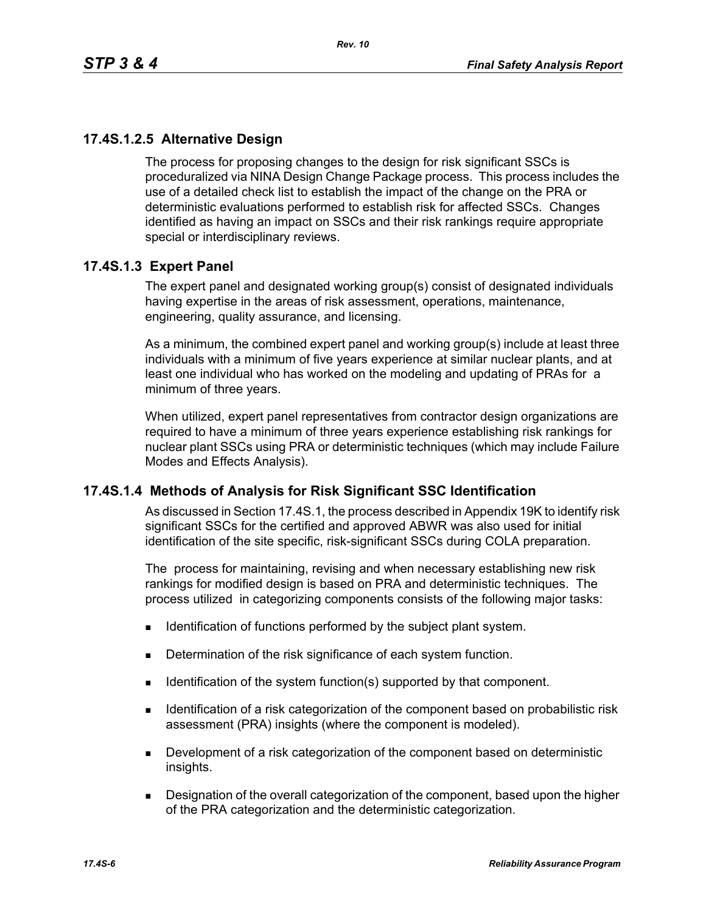## **17.4S.1.2.5 Alternative Design**

The process for proposing changes to the design for risk significant SSCs is proceduralized via NINA Design Change Package process. This process includes the use of a detailed check list to establish the impact of the change on the PRA or deterministic evaluations performed to establish risk for affected SSCs. Changes identified as having an impact on SSCs and their risk rankings require appropriate special or interdisciplinary reviews.

## **17.4S.1.3 Expert Panel**

The expert panel and designated working group(s) consist of designated individuals having expertise in the areas of risk assessment, operations, maintenance, engineering, quality assurance, and licensing.

As a minimum, the combined expert panel and working group(s) include at least three individuals with a minimum of five years experience at similar nuclear plants, and at least one individual who has worked on the modeling and updating of PRAs for a minimum of three years.

When utilized, expert panel representatives from contractor design organizations are required to have a minimum of three years experience establishing risk rankings for nuclear plant SSCs using PRA or deterministic techniques (which may include Failure Modes and Effects Analysis).

## **17.4S.1.4 Methods of Analysis for Risk Significant SSC Identification**

As discussed in Section 17.4S.1, the process described in Appendix 19K to identify risk significant SSCs for the certified and approved ABWR was also used for initial identification of the site specific, risk-significant SSCs during COLA preparation.

The process for maintaining, revising and when necessary establishing new risk rankings for modified design is based on PRA and deterministic techniques. The process utilized in categorizing components consists of the following major tasks:

- **IDENTIFICATE:** Identification of functions performed by the subject plant system.
- Determination of the risk significance of each system function.
- Identification of the system function(s) supported by that component.
- **IDENTIFY IDENTIFY IDENTIFY IS A THE LIGHT OF STATE IS A THE COMPORED IS A THE ISLE IS A THE ISL I** dentification of a risk assessment (PRA) insights (where the component is modeled).
- **Development of a risk categorization of the component based on deterministic** insights.
- **Designation of the overall categorization of the component, based upon the higher** of the PRA categorization and the deterministic categorization.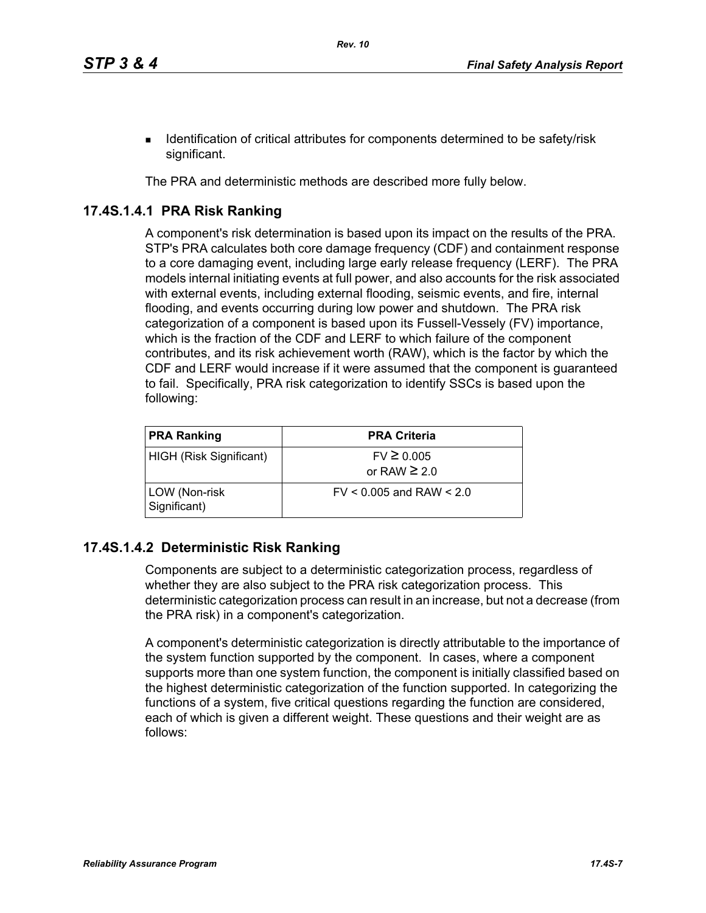**IDENTIFY IDENTIFY IDENTIFY IS A LOCATE IDENTIFY IS A LOCATE IDENTIFY IDENTIFY** IDENTIFY IS **I** dentification of critical attributes for components determined to be safety/risk significant.

The PRA and deterministic methods are described more fully below.

## **17.4S.1.4.1 PRA Risk Ranking**

A component's risk determination is based upon its impact on the results of the PRA. STP's PRA calculates both core damage frequency (CDF) and containment response to a core damaging event, including large early release frequency (LERF). The PRA models internal initiating events at full power, and also accounts for the risk associated with external events, including external flooding, seismic events, and fire, internal flooding, and events occurring during low power and shutdown. The PRA risk categorization of a component is based upon its Fussell-Vessely (FV) importance, which is the fraction of the CDF and LERF to which failure of the component contributes, and its risk achievement worth (RAW), which is the factor by which the CDF and LERF would increase if it were assumed that the component is guaranteed to fail. Specifically, PRA risk categorization to identify SSCs is based upon the following:

| <b>PRA Ranking</b>            | <b>PRA Criteria</b>                 |
|-------------------------------|-------------------------------------|
| HIGH (Risk Significant)       | $FV \ge 0.005$<br>or RAW $\geq 2.0$ |
| LOW (Non-risk<br>Significant) | $FV < 0.005$ and RAW $< 2.0$        |

# **17.4S.1.4.2 Deterministic Risk Ranking**

Components are subject to a deterministic categorization process, regardless of whether they are also subject to the PRA risk categorization process. This deterministic categorization process can result in an increase, but not a decrease (from the PRA risk) in a component's categorization.

A component's deterministic categorization is directly attributable to the importance of the system function supported by the component. In cases, where a component supports more than one system function, the component is initially classified based on the highest deterministic categorization of the function supported. In categorizing the functions of a system, five critical questions regarding the function are considered, each of which is given a different weight. These questions and their weight are as follows: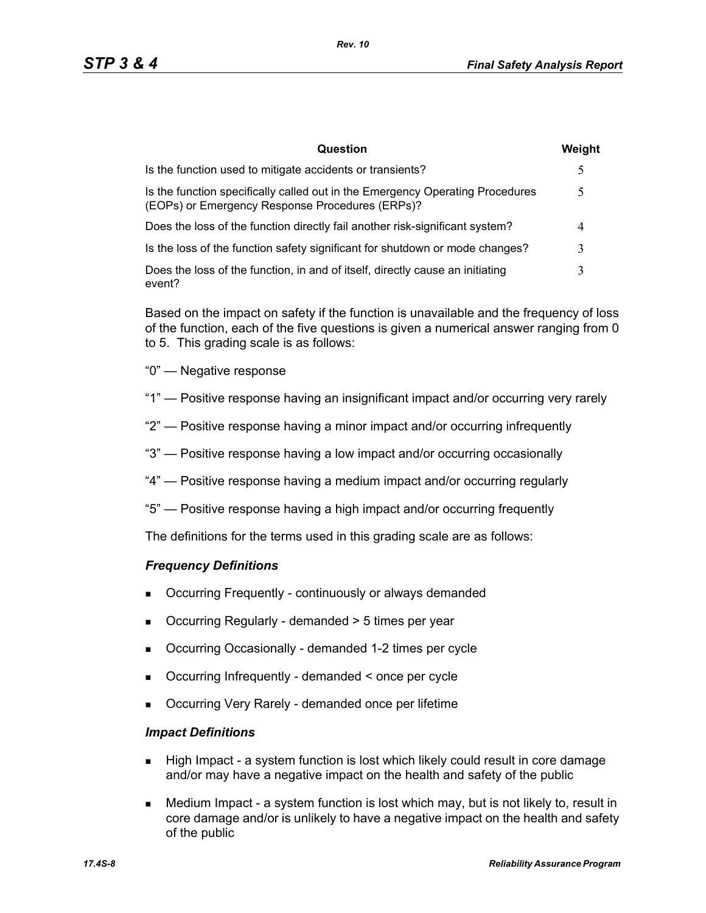| Question                                                                                                                         | Weight |
|----------------------------------------------------------------------------------------------------------------------------------|--------|
| Is the function used to mitigate accidents or transients?                                                                        | 5      |
| Is the function specifically called out in the Emergency Operating Procedures<br>(EOPs) or Emergency Response Procedures (ERPs)? |        |
| Does the loss of the function directly fail another risk-significant system?                                                     | 4      |
| Is the loss of the function safety significant for shutdown or mode changes?                                                     | 3      |
| Does the loss of the function, in and of itself, directly cause an initiating<br>event?                                          | 3      |

Based on the impact on safety if the function is unavailable and the frequency of loss of the function, each of the five questions is given a numerical answer ranging from 0 to 5. This grading scale is as follows:

- "0" Negative response
- "1" Positive response having an insignificant impact and/or occurring very rarely
- "2" Positive response having a minor impact and/or occurring infrequently
- "3" Positive response having a low impact and/or occurring occasionally
- "4" Positive response having a medium impact and/or occurring regularly
- "5" Positive response having a high impact and/or occurring frequently

The definitions for the terms used in this grading scale are as follows:

#### *Frequency Definitions*

- Occurring Frequently continuously or always demanded
- Occurring Regularly demanded > 5 times per year
- Occurring Occasionally demanded 1-2 times per cycle
- Occurring Infrequently demanded < once per cycle
- Occurring Very Rarely demanded once per lifetime

#### *Impact Definitions*

- High Impact a system function is lost which likely could result in core damage and/or may have a negative impact on the health and safety of the public
- Medium Impact a system function is lost which may, but is not likely to, result in core damage and/or is unlikely to have a negative impact on the health and safety of the public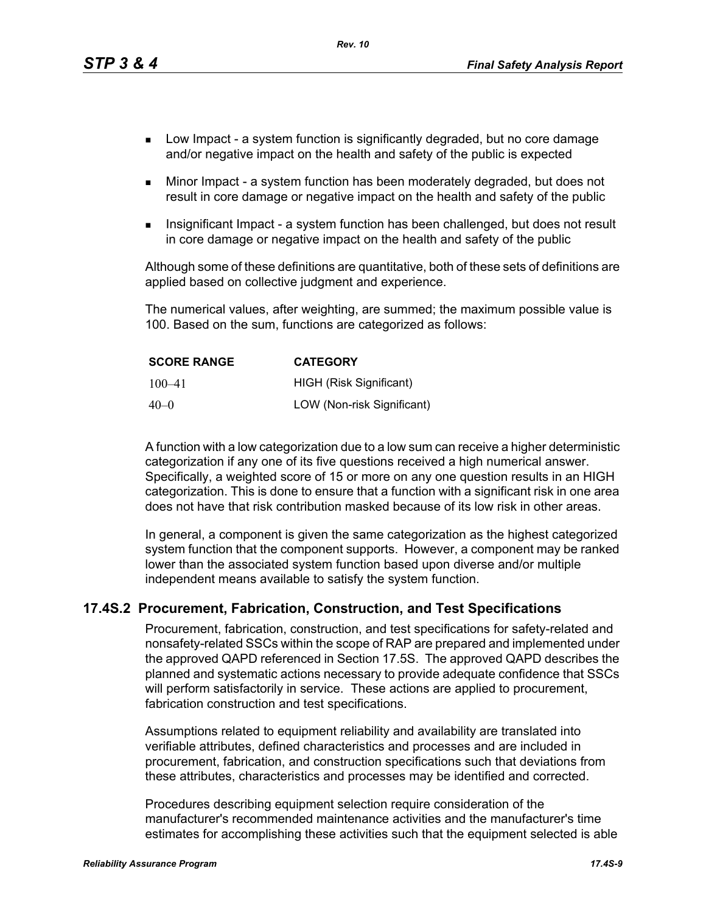*Rev. 10*

- **Low Impact a system function is significantly degraded, but no core damage** and/or negative impact on the health and safety of the public is expected
- Minor Impact a system function has been moderately degraded, but does not result in core damage or negative impact on the health and safety of the public
- Insignificant Impact a system function has been challenged, but does not result in core damage or negative impact on the health and safety of the public

Although some of these definitions are quantitative, both of these sets of definitions are applied based on collective judgment and experience.

The numerical values, after weighting, are summed; the maximum possible value is 100. Based on the sum, functions are categorized as follows:

| <b>SCORE RANGE</b> | <b>CATEGORY</b>            |
|--------------------|----------------------------|
| $100 - 41$         | HIGH (Risk Significant)    |
| $40 - 0$           | LOW (Non-risk Significant) |

A function with a low categorization due to a low sum can receive a higher deterministic categorization if any one of its five questions received a high numerical answer. Specifically, a weighted score of 15 or more on any one question results in an HIGH categorization. This is done to ensure that a function with a significant risk in one area does not have that risk contribution masked because of its low risk in other areas.

In general, a component is given the same categorization as the highest categorized system function that the component supports. However, a component may be ranked lower than the associated system function based upon diverse and/or multiple independent means available to satisfy the system function.

### **17.4S.2 Procurement, Fabrication, Construction, and Test Specifications**

Procurement, fabrication, construction, and test specifications for safety-related and nonsafety-related SSCs within the scope of RAP are prepared and implemented under the approved QAPD referenced in Section 17.5S. The approved QAPD describes the planned and systematic actions necessary to provide adequate confidence that SSCs will perform satisfactorily in service. These actions are applied to procurement, fabrication construction and test specifications.

Assumptions related to equipment reliability and availability are translated into verifiable attributes, defined characteristics and processes and are included in procurement, fabrication, and construction specifications such that deviations from these attributes, characteristics and processes may be identified and corrected.

Procedures describing equipment selection require consideration of the manufacturer's recommended maintenance activities and the manufacturer's time estimates for accomplishing these activities such that the equipment selected is able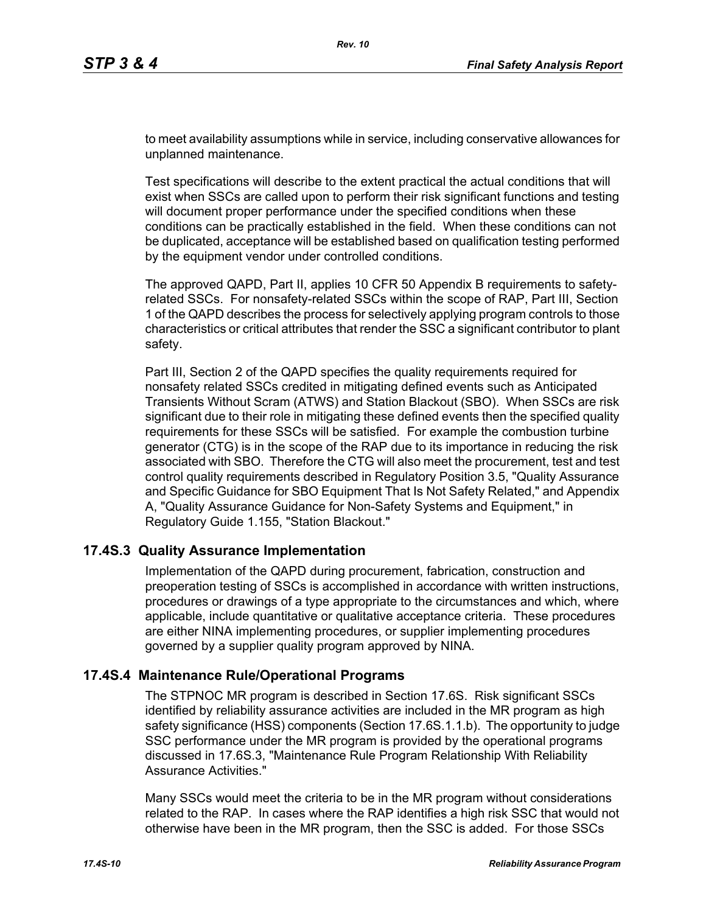to meet availability assumptions while in service, including conservative allowances for unplanned maintenance.

Test specifications will describe to the extent practical the actual conditions that will exist when SSCs are called upon to perform their risk significant functions and testing will document proper performance under the specified conditions when these conditions can be practically established in the field. When these conditions can not be duplicated, acceptance will be established based on qualification testing performed by the equipment vendor under controlled conditions.

The approved QAPD, Part II, applies 10 CFR 50 Appendix B requirements to safetyrelated SSCs. For nonsafety-related SSCs within the scope of RAP, Part III, Section 1 of the QAPD describes the process for selectively applying program controls to those characteristics or critical attributes that render the SSC a significant contributor to plant safety.

Part III, Section 2 of the QAPD specifies the quality requirements required for nonsafety related SSCs credited in mitigating defined events such as Anticipated Transients Without Scram (ATWS) and Station Blackout (SBO). When SSCs are risk significant due to their role in mitigating these defined events then the specified quality requirements for these SSCs will be satisfied. For example the combustion turbine generator (CTG) is in the scope of the RAP due to its importance in reducing the risk associated with SBO. Therefore the CTG will also meet the procurement, test and test control quality requirements described in Regulatory Position 3.5, "Quality Assurance and Specific Guidance for SBO Equipment That Is Not Safety Related," and Appendix A, "Quality Assurance Guidance for Non-Safety Systems and Equipment," in Regulatory Guide 1.155, "Station Blackout."

### **17.4S.3 Quality Assurance Implementation**

Implementation of the QAPD during procurement, fabrication, construction and preoperation testing of SSCs is accomplished in accordance with written instructions, procedures or drawings of a type appropriate to the circumstances and which, where applicable, include quantitative or qualitative acceptance criteria. These procedures are either NINA implementing procedures, or supplier implementing procedures governed by a supplier quality program approved by NINA.

### **17.4S.4 Maintenance Rule/Operational Programs**

The STPNOC MR program is described in Section 17.6S. Risk significant SSCs identified by reliability assurance activities are included in the MR program as high safety significance (HSS) components (Section 17.6S.1.1.b). The opportunity to judge SSC performance under the MR program is provided by the operational programs discussed in 17.6S.3, "Maintenance Rule Program Relationship With Reliability Assurance Activities."

Many SSCs would meet the criteria to be in the MR program without considerations related to the RAP. In cases where the RAP identifies a high risk SSC that would not otherwise have been in the MR program, then the SSC is added. For those SSCs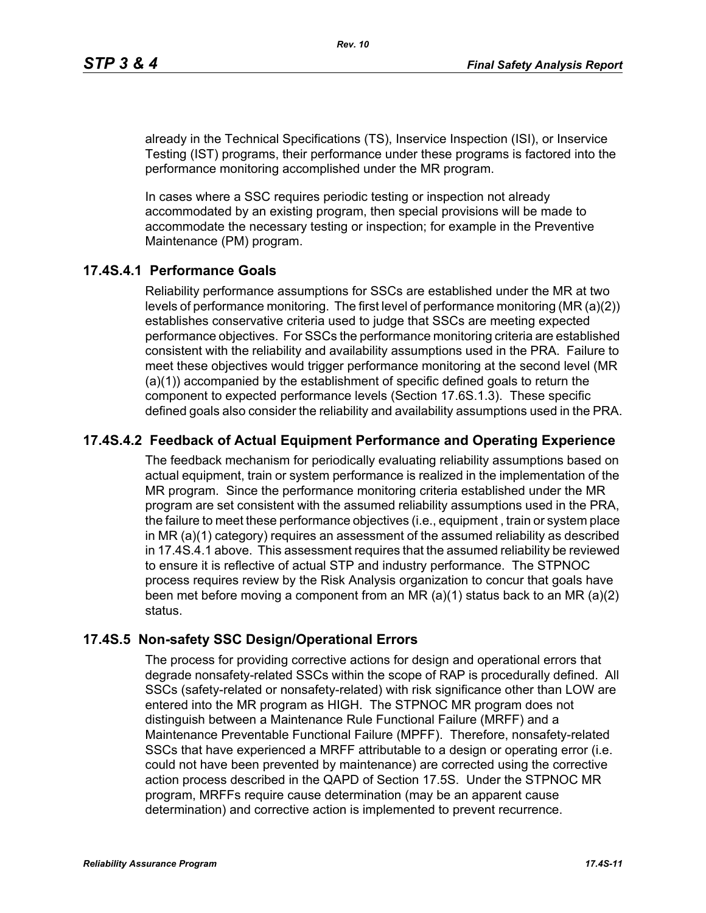already in the Technical Specifications (TS), Inservice Inspection (ISI), or Inservice Testing (IST) programs, their performance under these programs is factored into the performance monitoring accomplished under the MR program.

In cases where a SSC requires periodic testing or inspection not already accommodated by an existing program, then special provisions will be made to accommodate the necessary testing or inspection; for example in the Preventive Maintenance (PM) program.

## **17.4S.4.1 Performance Goals**

Reliability performance assumptions for SSCs are established under the MR at two levels of performance monitoring. The first level of performance monitoring (MR (a)(2)) establishes conservative criteria used to judge that SSCs are meeting expected performance objectives. For SSCs the performance monitoring criteria are established consistent with the reliability and availability assumptions used in the PRA. Failure to meet these objectives would trigger performance monitoring at the second level (MR (a)(1)) accompanied by the establishment of specific defined goals to return the component to expected performance levels (Section 17.6S.1.3). These specific defined goals also consider the reliability and availability assumptions used in the PRA.

## **17.4S.4.2 Feedback of Actual Equipment Performance and Operating Experience**

The feedback mechanism for periodically evaluating reliability assumptions based on actual equipment, train or system performance is realized in the implementation of the MR program. Since the performance monitoring criteria established under the MR program are set consistent with the assumed reliability assumptions used in the PRA, the failure to meet these performance objectives (i.e., equipment , train or system place in MR (a)(1) category) requires an assessment of the assumed reliability as described in 17.4S.4.1 above. This assessment requires that the assumed reliability be reviewed to ensure it is reflective of actual STP and industry performance. The STPNOC process requires review by the Risk Analysis organization to concur that goals have been met before moving a component from an MR (a)(1) status back to an MR (a)(2) status.

### **17.4S.5 Non-safety SSC Design/Operational Errors**

The process for providing corrective actions for design and operational errors that degrade nonsafety-related SSCs within the scope of RAP is procedurally defined. All SSCs (safety-related or nonsafety-related) with risk significance other than LOW are entered into the MR program as HIGH. The STPNOC MR program does not distinguish between a Maintenance Rule Functional Failure (MRFF) and a Maintenance Preventable Functional Failure (MPFF). Therefore, nonsafety-related SSCs that have experienced a MRFF attributable to a design or operating error (i.e. could not have been prevented by maintenance) are corrected using the corrective action process described in the QAPD of Section 17.5S. Under the STPNOC MR program, MRFFs require cause determination (may be an apparent cause determination) and corrective action is implemented to prevent recurrence.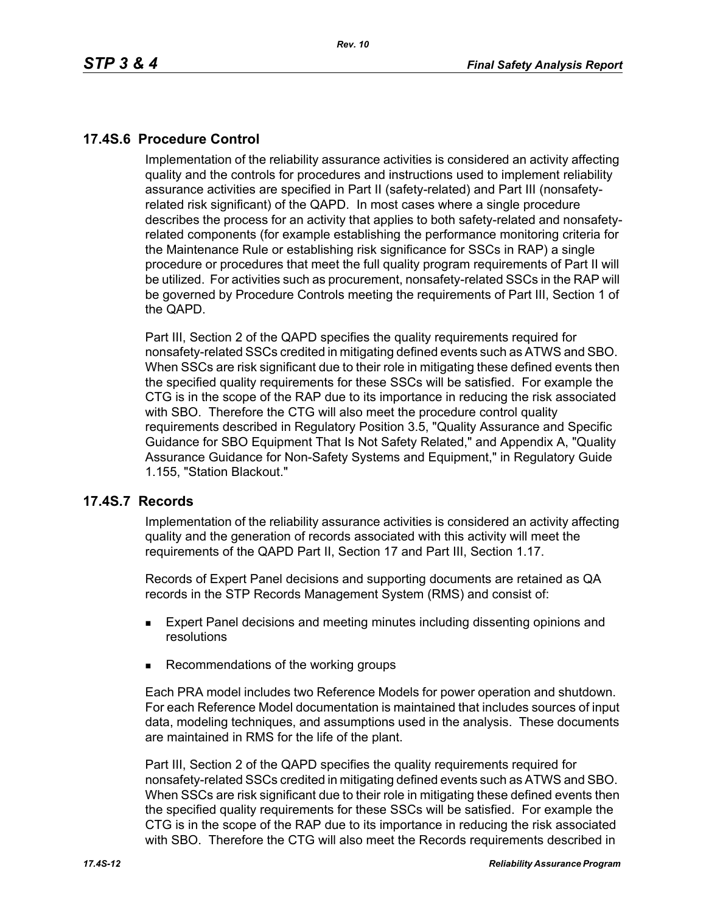## **17.4S.6 Procedure Control**

Implementation of the reliability assurance activities is considered an activity affecting quality and the controls for procedures and instructions used to implement reliability assurance activities are specified in Part II (safety-related) and Part III (nonsafetyrelated risk significant) of the QAPD. In most cases where a single procedure describes the process for an activity that applies to both safety-related and nonsafetyrelated components (for example establishing the performance monitoring criteria for the Maintenance Rule or establishing risk significance for SSCs in RAP) a single procedure or procedures that meet the full quality program requirements of Part II will be utilized. For activities such as procurement, nonsafety-related SSCs in the RAP will be governed by Procedure Controls meeting the requirements of Part III, Section 1 of the QAPD.

Part III, Section 2 of the QAPD specifies the quality requirements required for nonsafety-related SSCs credited in mitigating defined events such as ATWS and SBO. When SSCs are risk significant due to their role in mitigating these defined events then the specified quality requirements for these SSCs will be satisfied. For example the CTG is in the scope of the RAP due to its importance in reducing the risk associated with SBO. Therefore the CTG will also meet the procedure control quality requirements described in Regulatory Position 3.5, "Quality Assurance and Specific Guidance for SBO Equipment That Is Not Safety Related," and Appendix A, "Quality Assurance Guidance for Non-Safety Systems and Equipment," in Regulatory Guide 1.155, "Station Blackout."

#### **17.4S.7 Records**

Implementation of the reliability assurance activities is considered an activity affecting quality and the generation of records associated with this activity will meet the requirements of the QAPD Part II, Section 17 and Part III, Section 1.17.

Records of Expert Panel decisions and supporting documents are retained as QA records in the STP Records Management System (RMS) and consist of:

- **Expert Panel decisions and meeting minutes including dissenting opinions and** resolutions
- Recommendations of the working groups

Each PRA model includes two Reference Models for power operation and shutdown. For each Reference Model documentation is maintained that includes sources of input data, modeling techniques, and assumptions used in the analysis. These documents are maintained in RMS for the life of the plant.

Part III, Section 2 of the QAPD specifies the quality requirements required for nonsafety-related SSCs credited in mitigating defined events such as ATWS and SBO. When SSCs are risk significant due to their role in mitigating these defined events then the specified quality requirements for these SSCs will be satisfied. For example the CTG is in the scope of the RAP due to its importance in reducing the risk associated with SBO. Therefore the CTG will also meet the Records requirements described in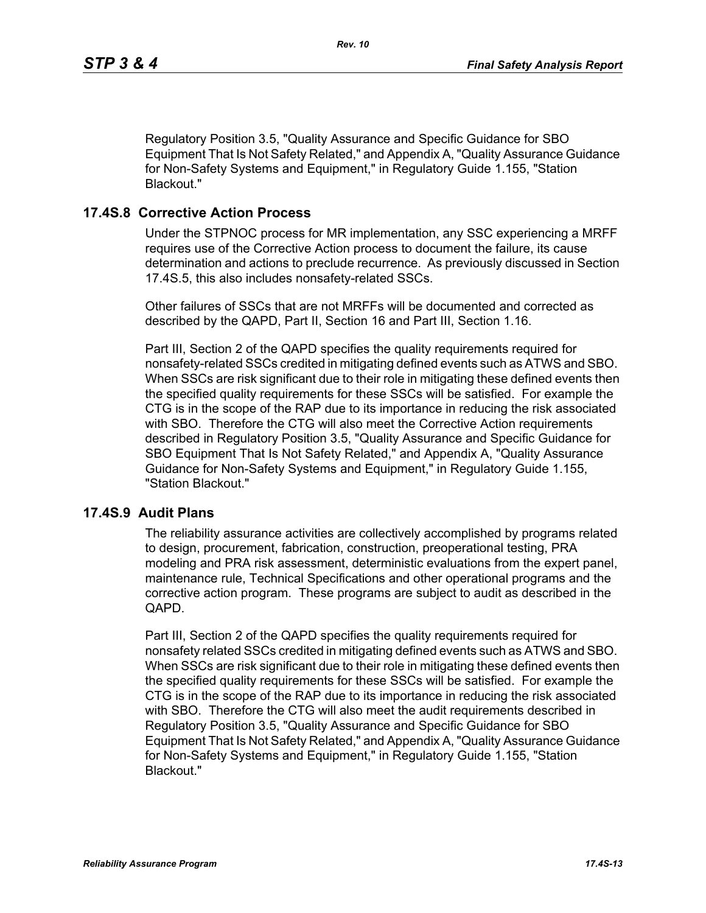Regulatory Position 3.5, "Quality Assurance and Specific Guidance for SBO Equipment That Is Not Safety Related," and Appendix A, "Quality Assurance Guidance for Non-Safety Systems and Equipment," in Regulatory Guide 1.155, "Station Blackout."

### **17.4S.8 Corrective Action Process**

Under the STPNOC process for MR implementation, any SSC experiencing a MRFF requires use of the Corrective Action process to document the failure, its cause determination and actions to preclude recurrence. As previously discussed in Section 17.4S.5, this also includes nonsafety-related SSCs.

Other failures of SSCs that are not MRFFs will be documented and corrected as described by the QAPD, Part II, Section 16 and Part III, Section 1.16.

Part III, Section 2 of the QAPD specifies the quality requirements required for nonsafety-related SSCs credited in mitigating defined events such as ATWS and SBO. When SSCs are risk significant due to their role in mitigating these defined events then the specified quality requirements for these SSCs will be satisfied. For example the CTG is in the scope of the RAP due to its importance in reducing the risk associated with SBO. Therefore the CTG will also meet the Corrective Action requirements described in Regulatory Position 3.5, "Quality Assurance and Specific Guidance for SBO Equipment That Is Not Safety Related," and Appendix A, "Quality Assurance Guidance for Non-Safety Systems and Equipment," in Regulatory Guide 1.155, "Station Blackout."

### **17.4S.9 Audit Plans**

The reliability assurance activities are collectively accomplished by programs related to design, procurement, fabrication, construction, preoperational testing, PRA modeling and PRA risk assessment, deterministic evaluations from the expert panel, maintenance rule, Technical Specifications and other operational programs and the corrective action program. These programs are subject to audit as described in the QAPD.

Part III, Section 2 of the QAPD specifies the quality requirements required for nonsafety related SSCs credited in mitigating defined events such as ATWS and SBO. When SSCs are risk significant due to their role in mitigating these defined events then the specified quality requirements for these SSCs will be satisfied. For example the CTG is in the scope of the RAP due to its importance in reducing the risk associated with SBO. Therefore the CTG will also meet the audit requirements described in Regulatory Position 3.5, "Quality Assurance and Specific Guidance for SBO Equipment That Is Not Safety Related," and Appendix A, "Quality Assurance Guidance for Non-Safety Systems and Equipment," in Regulatory Guide 1.155, "Station Blackout."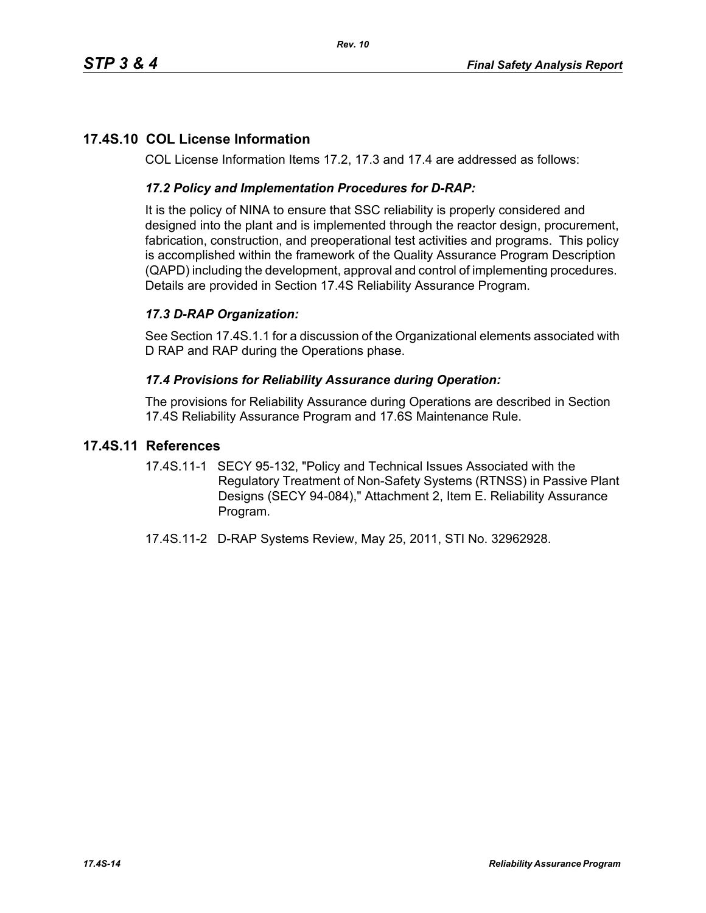# **17.4S.10 COL License Information**

COL License Information Items 17.2, 17.3 and 17.4 are addressed as follows:

## *17.2 Policy and Implementation Procedures for D-RAP:*

It is the policy of NINA to ensure that SSC reliability is properly considered and designed into the plant and is implemented through the reactor design, procurement, fabrication, construction, and preoperational test activities and programs. This policy is accomplished within the framework of the Quality Assurance Program Description (QAPD) including the development, approval and control of implementing procedures. Details are provided in Section 17.4S Reliability Assurance Program.

## *17.3 D-RAP Organization:*

See Section 17.4S.1.1 for a discussion of the Organizational elements associated with D RAP and RAP during the Operations phase.

### *17.4 Provisions for Reliability Assurance during Operation:*

The provisions for Reliability Assurance during Operations are described in Section 17.4S Reliability Assurance Program and 17.6S Maintenance Rule.

### **17.4S.11 References**

- 17.4S.11-1 SECY 95-132, "Policy and Technical Issues Associated with the Regulatory Treatment of Non-Safety Systems (RTNSS) in Passive Plant Designs (SECY 94-084)," Attachment 2, Item E. Reliability Assurance Program.
- 17.4S.11-2 D-RAP Systems Review, May 25, 2011, STI No. 32962928.